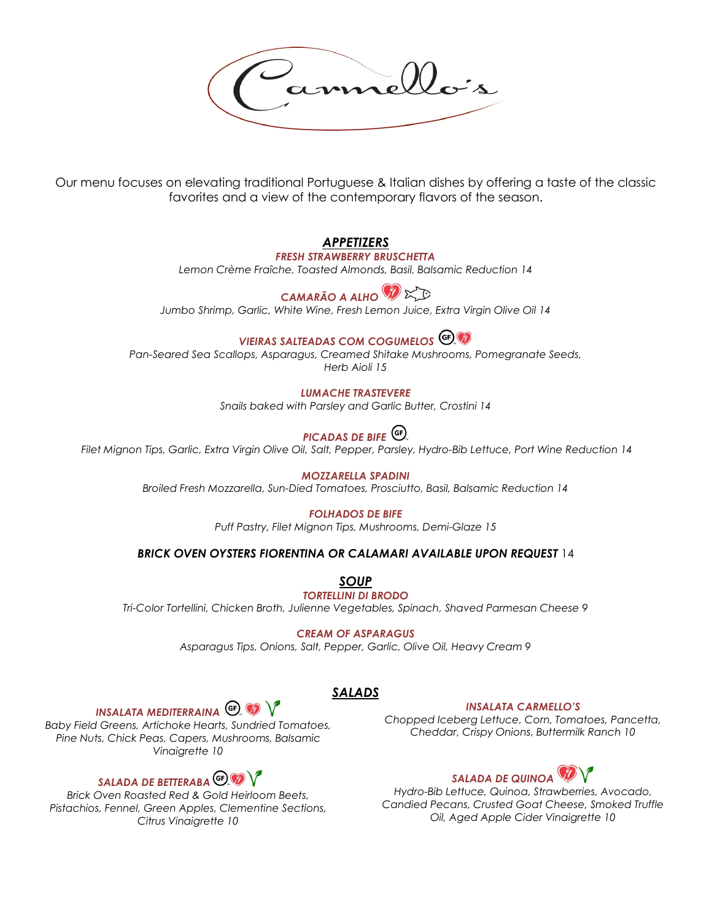Our menu focuses on elevating traditional Portuguese & Italian dishes by offering a taste of the classic favorites and a view of the contemporary flavors of the season.

## *APPETIZERS*

#### *FRESH STRAWBERRY BRUSCHETTA*

*Lemon Crème Fraîche, Toasted Almonds, Basil, Balsamic Reduction 14*

# *CAMARÃO A ALHO*

*Jumbo Shrimp, Garlic, White Wine, Fresh Lemon Juice, Extra Virgin Olive Oil 14*

# *VIEIRAS SALTEADAS COM COGUMELOS*

*Pan-Seared Sea Scallops, Asparagus, Creamed Shitake Mushrooms, Pomegranate Seeds, Herb Aioli 15*

#### *LUMACHE TRASTEVERE*

*Snails baked with Parsley and Garlic Butter, Crostini 14*

# *PICADAS DE BIFE*

*Filet Mignon Tips, Garlic, Extra Virgin Olive Oil, Salt, Pepper, Parsley, Hydro-Bib Lettuce, Port Wine Reduction 14* 

*MOZZARELLA SPADINI Broiled Fresh Mozzarella, Sun-Died Tomatoes, Prosciutto, Basil, Balsamic Reduction 14*

#### *FOLHADOS DE BIFE*

*Puff Pastry, Filet Mignon Tips, Mushrooms, Demi-Glaze 15*

#### *BRICK OVEN OYSTERS FIORENTINA OR CALAMARI AVAILABLE UPON REQUEST* 14

*SOUP TORTELLINI DI BRODO*

*Tri-Color Tortellini, Chicken Broth, Julienne Vegetables, Spinach, Shaved Parmesan Cheese 9*

*CREAM OF ASPARAGUS*

*Asparagus Tips, Onions, Salt, Pepper, Garlic, Olive Oil, Heavy Cream 9* 

*SALADS*

#### *INSALATA CARMELLO'S*

*Chopped Iceberg Lettuce, Corn, Tomatoes, Pancetta, Cheddar, Crispy Onions, Buttermilk Ranch 10*

# *SALADA DE QUINOA*

*Hydro-Bib Lettuce, Quinoa, Strawberries, Avocado, Candied Pecans, Crusted Goat Cheese, Smoked Truffle Oil, Aged Apple Cider Vinaigrette 10*



*Baby Field Greens, Artichoke Hearts, Sundried Tomatoes, Pine Nuts, Chick Peas, Capers, Mushrooms, Balsamic Vinaigrette 10*

# *SALADA DE BETTERABA*

*Brick Oven Roasted Red & Gold Heirloom Beets, Pistachios, Fennel, Green Apples, Clementine Sections, Citrus Vinaigrette 10*